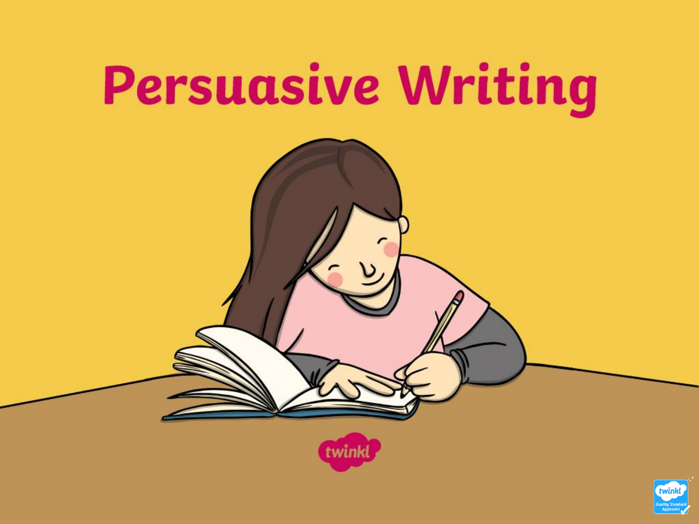

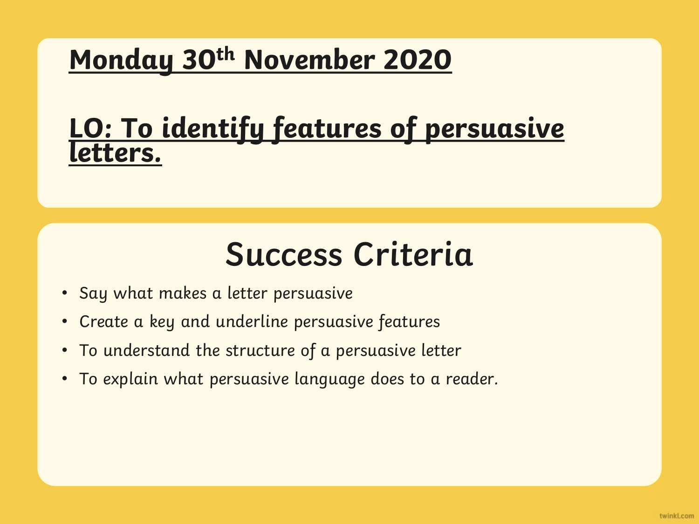#### <u>ILDEF</u> **Monday 30th November 2020**

### **LO: To identify features of persuasive letters.**

# **Success Criteria Success Criteria**

- $\bullet$  Say what makes a letter persuasive eliter. In the consection of the consection of the consection of the consection of the consection of the consection of the consection of the consection of the consection of the cons
- Create a key and underline persuasive features
- To understand the structure of a persuasive letter
- To explain what persuasive language does to a reader.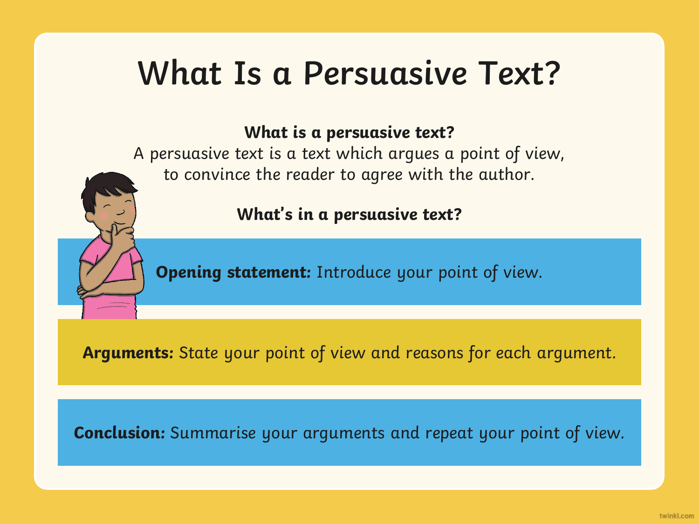# **What Is a Persuasive Text?**

#### **What is a persuasive text?**

A persuasive text is a text which argues a point of view, to convince the reader to agree with the author.

**What's in a persuasive text?**

**Opening statement:** Introduce your point of view.

**Arguments:** State your point of view and reasons for each argument.

**Conclusion:** Summarise your arguments and repeat your point of view.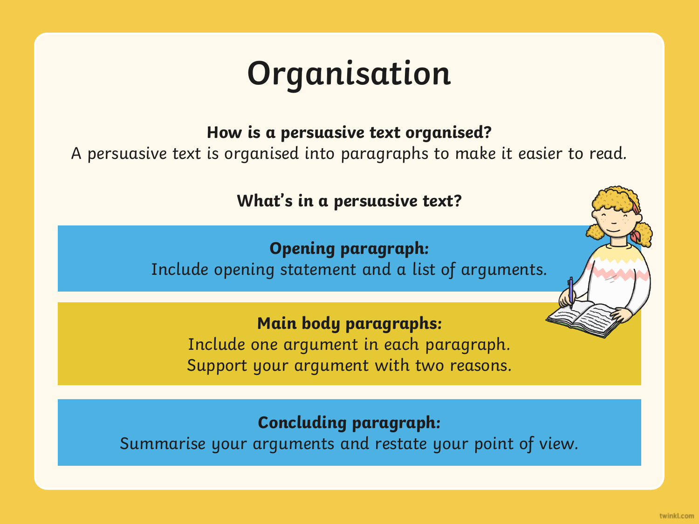# **Organisation**

**How is a persuasive text organised?** 

A persuasive text is organised into paragraphs to make it easier to read.

**What's in a persuasive text?**

**Opening paragraph:**  Include opening statement and a list of arguments.

**Main body paragraphs:**  Include one argument in each paragraph. Support your argument with two reasons.

**Concluding paragraph:** 

Summarise your arguments and restate your point of view.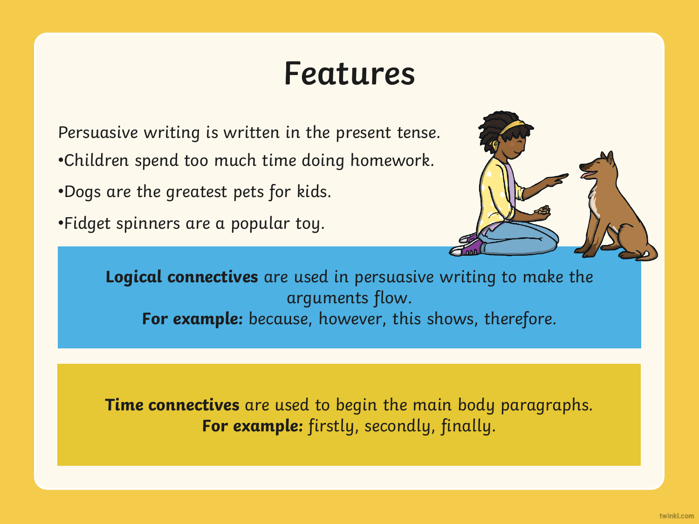## **Features**

Persuasive writing is written in the present tense. •Children spend too much time doing homework.

•Dogs are the greatest pets for kids.

•Fidget spinners are a popular toy.



**Logical connectives** are used in persuasive writing to make the arguments flow. For example: because, however, this shows, therefore.

**Time connectives** are used to begin the main body paragraphs. **For example:** firstly, secondly, finally.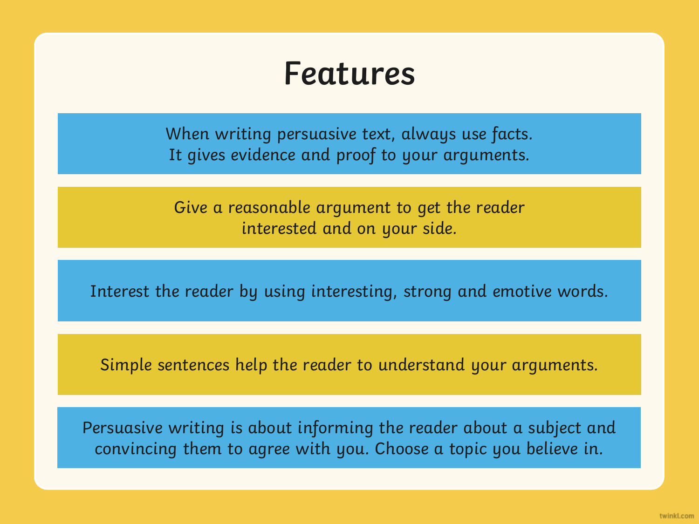### **Features**

When writing persuasive text, always use facts. It gives evidence and proof to your arguments.

Give a reasonable argument to get the reader interested and on your side.

Interest the reader by using interesting, strong and emotive words.

Simple sentences help the reader to understand your arguments.

Persuasive writing is about informing the reader about a subject and convincing them to agree with you. Choose a topic you believe in.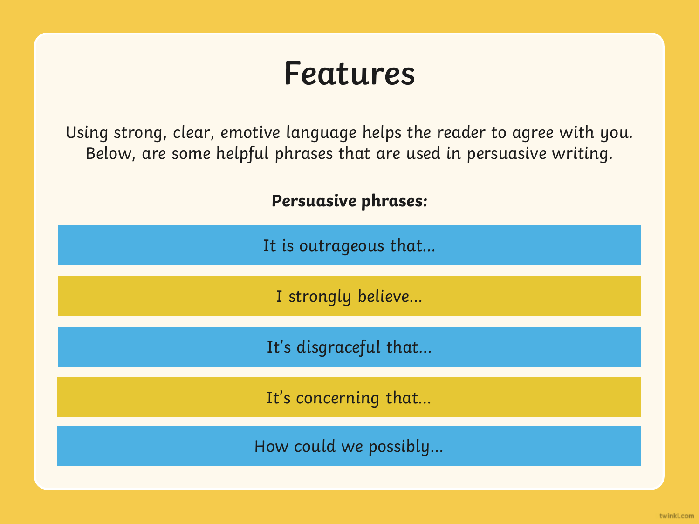## **Features**

Using strong, clear, emotive language helps the reader to agree with you. Below, are some helpful phrases that are used in persuasive writing.

**Persuasive phrases:** 

It is outrageous that…

I strongly believe…

It's disgraceful that…

It's concerning that…

How could we possibly…